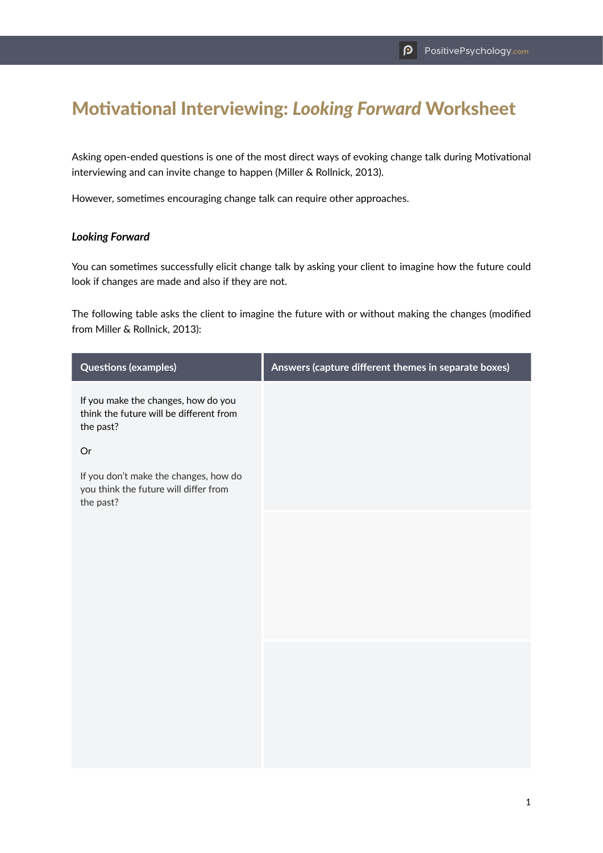## Motivational Interviewing: *Looking Forward* Worksheet

Asking open-ended questions is one of the most direct ways of evoking change talk during Motivational interviewing and can invite change to happen (Miller & Rollnick, 2013).

However, sometimes encouraging change talk can require other approaches.

## *Looking Forward*

You can sometimes successfully elicit change talk by asking your client to imagine how the future could look if changes are made and also if they are not.

The following table asks the client to imagine the future with or without making the changes (modified from Miller & Rollnick, 2013):

| <b>Questions (examples)</b>                                                                 | Answers (capture different themes in separate boxes) |
|---------------------------------------------------------------------------------------------|------------------------------------------------------|
| If you make the changes, how do you<br>think the future will be different from<br>the past? |                                                      |
| $\mathop{\sf Or}\nolimits$                                                                  |                                                      |
| If you don't make the changes, how do<br>you think the future will differ from<br>the past? |                                                      |
|                                                                                             |                                                      |
|                                                                                             |                                                      |
|                                                                                             |                                                      |
|                                                                                             |                                                      |
|                                                                                             |                                                      |
|                                                                                             |                                                      |
|                                                                                             |                                                      |
|                                                                                             |                                                      |
|                                                                                             |                                                      |